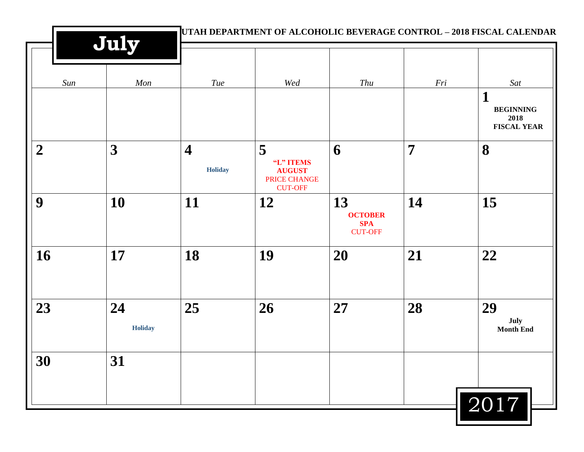|                  |                      | UTAH DEPARTMENT OF ALCOHOLIC BEVERAGE CONTROL - 2018 FISCAL CALENDAR |                                                                   |                                                      |                |                                                |  |
|------------------|----------------------|----------------------------------------------------------------------|-------------------------------------------------------------------|------------------------------------------------------|----------------|------------------------------------------------|--|
| Sun              | July<br>Mon          | Tue                                                                  | Wed                                                               | Thu                                                  | Fri            | Sat<br>$\mathbf 1$                             |  |
|                  |                      |                                                                      |                                                                   |                                                      |                | <b>BEGINNING</b><br>2018<br><b>FISCAL YEAR</b> |  |
| $\boldsymbol{2}$ | 3                    | $\overline{\mathbf{4}}$<br><b>Holiday</b>                            | 5<br>"L" ITEMS<br><b>AUGUST</b><br>PRICE CHANGE<br><b>CUT-OFF</b> | 6                                                    | $\overline{7}$ | 8                                              |  |
| 9                | 10                   | 11                                                                   | 12                                                                | 13<br><b>OCTOBER</b><br><b>SPA</b><br><b>CUT-OFF</b> | 14             | 15                                             |  |
| 16               | 17                   | 18                                                                   | 19                                                                | 20                                                   | 21             | 22                                             |  |
| 23               | 24<br><b>Holiday</b> | 25                                                                   | 26                                                                | 27                                                   | 28             | 29<br>July<br><b>Month End</b>                 |  |
| 30               | 31                   |                                                                      |                                                                   |                                                      |                | 2017                                           |  |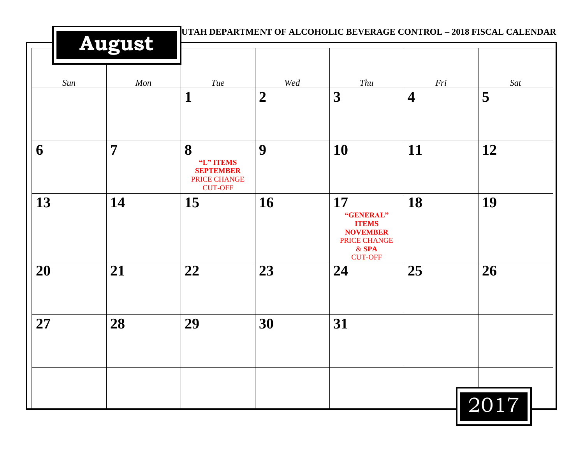| UTAH DEPARTMENT OF ALCOHOLIC BEVERAGE CONTROL - 2018 FISCAL CALENDAR<br><b>August</b> |                |                                                                             |                |                                                                                                 |                         |      |  |  |
|---------------------------------------------------------------------------------------|----------------|-----------------------------------------------------------------------------|----------------|-------------------------------------------------------------------------------------------------|-------------------------|------|--|--|
| Sun                                                                                   | Mon            | Tue                                                                         | Wed            | Thu                                                                                             | Fri                     | Sat  |  |  |
|                                                                                       |                | 1                                                                           | $\overline{2}$ | 3                                                                                               | $\overline{\mathbf{4}}$ | 5    |  |  |
| 6                                                                                     | $\overline{7}$ | 8<br>"L" ITEMS<br><b>SEPTEMBER</b><br><b>PRICE CHANGE</b><br><b>CUT-OFF</b> | 9              | 10                                                                                              | 11                      | 12   |  |  |
| 13                                                                                    | 14             | 15                                                                          | 16             | 17<br>"GENERAL"<br><b>ITEMS</b><br><b>NOVEMBER</b><br>PRICE CHANGE<br>$&$ SPA<br><b>CUT-OFF</b> | 18                      | 19   |  |  |
| 20                                                                                    | 21             | 22                                                                          | 23             | 24                                                                                              | 25                      | 26   |  |  |
| 27                                                                                    | 28             | 29                                                                          | 30             | 31                                                                                              |                         |      |  |  |
|                                                                                       |                |                                                                             |                |                                                                                                 |                         | 2017 |  |  |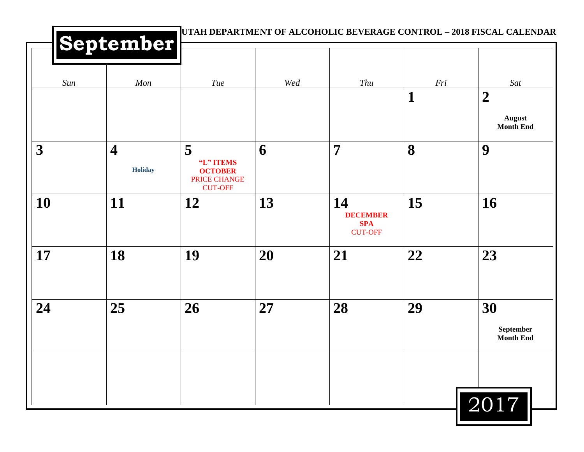|                         | September                          |                                                                    |     | UTAH DEPARTMENT OF ALCOHOLIC BEVERAGE CONTROL - 2018 FISCAL CALENDAR |     |                                                       |
|-------------------------|------------------------------------|--------------------------------------------------------------------|-----|----------------------------------------------------------------------|-----|-------------------------------------------------------|
| Sun                     | Mon                                | Tue                                                                | Wed | Thu                                                                  | Fri | Sat                                                   |
|                         |                                    |                                                                    |     |                                                                      | 1   | $\boldsymbol{2}$<br><b>August</b><br><b>Month End</b> |
| $\overline{\mathbf{3}}$ | $\overline{\mathbf{4}}$<br>Holiday | 5<br>"L" ITEMS<br><b>OCTOBER</b><br>PRICE CHANGE<br><b>CUT-OFF</b> | 6   | $\overline{7}$                                                       | 8   | 9                                                     |
| 10                      | 11                                 | 12                                                                 | 13  | 14<br><b>DECEMBER</b><br><b>SPA</b><br><b>CUT-OFF</b>                | 15  | 16                                                    |
| 17                      | 18                                 | 19                                                                 | 20  | 21                                                                   | 22  | 23                                                    |
| 24                      | 25                                 | 26                                                                 | 27  | 28                                                                   | 29  | 30<br>September<br><b>Month End</b>                   |
|                         |                                    |                                                                    |     |                                                                      |     | 2017                                                  |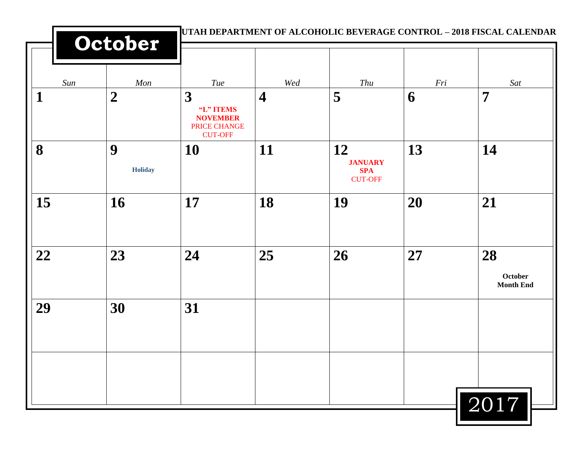|     | October             |                                                                     |                |                                                      |     | UTAH DEPARTMENT OF ALCOHOLIC BEVERAGE CONTROL - 2018 FISCAL CALENDAR |  |
|-----|---------------------|---------------------------------------------------------------------|----------------|------------------------------------------------------|-----|----------------------------------------------------------------------|--|
| Sun | Mon                 | Tue                                                                 | Wed            | Thu                                                  | Fri | Sat                                                                  |  |
| 1   | $\boldsymbol{2}$    | 3<br>"L" ITEMS<br><b>NOVEMBER</b><br>PRICE CHANGE<br><b>CUT-OFF</b> | $\overline{4}$ | 5                                                    | 6   | $\overline{7}$                                                       |  |
| 8   | 9<br><b>Holiday</b> | 10                                                                  | 11             | 12<br><b>JANUARY</b><br><b>SPA</b><br><b>CUT-OFF</b> | 13  | 14                                                                   |  |
| 15  | 16                  | 17                                                                  | 18             | 19                                                   | 20  | 21                                                                   |  |
| 22  | 23                  | 24                                                                  | 25             | 26                                                   | 27  | 28<br>October<br><b>Month End</b>                                    |  |
| 29  | 30                  | 31                                                                  |                |                                                      |     |                                                                      |  |
|     |                     |                                                                     |                |                                                      |     | $\sqrt{2017}$                                                        |  |

Ш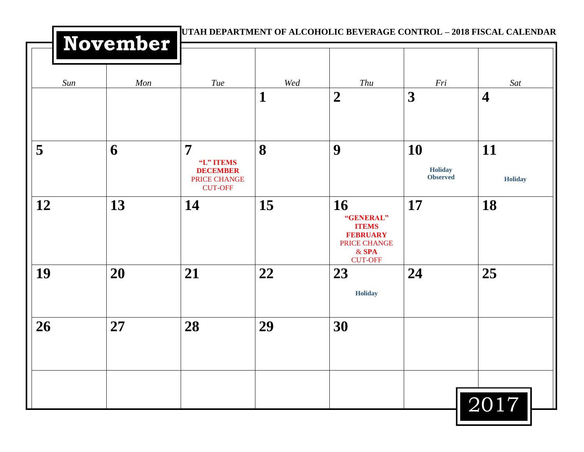|     | <b>November</b> |                                                                                  |     | UTAH DEPARTMENT OF ALCOHOLIC BEVERAGE CONTROL – 2018 FISCAL CALENDAR                                   |                                         |                         |
|-----|-----------------|----------------------------------------------------------------------------------|-----|--------------------------------------------------------------------------------------------------------|-----------------------------------------|-------------------------|
| Sun | Mon             | Tue                                                                              | Wed | Thu                                                                                                    | Fri                                     | Sat                     |
|     |                 |                                                                                  | 1   | $\boldsymbol{2}$                                                                                       | 3                                       | $\overline{\mathbf{4}}$ |
| 5   | 6               | $\overline{7}$<br>"L" ITEMS<br><b>DECEMBER</b><br>PRICE CHANGE<br><b>CUT-OFF</b> | 8   | 9                                                                                                      | 10<br><b>Holiday</b><br><b>Observed</b> | 11<br><b>Holiday</b>    |
| 12  | 13              | 14                                                                               | 15  | 16<br>"GENERAL"<br><b>ITEMS</b><br><b>FEBRUARY</b><br><b>PRICE CHANGE</b><br>$&$ SPA<br><b>CUT-OFF</b> | <b>17</b>                               | 18                      |
| 19  | 20              | 21                                                                               | 22  | 23<br><b>Holiday</b>                                                                                   | 24                                      | 25                      |
| 26  | 27              | 28                                                                               | 29  | 30                                                                                                     |                                         |                         |
|     |                 |                                                                                  |     |                                                                                                        |                                         | 2017                    |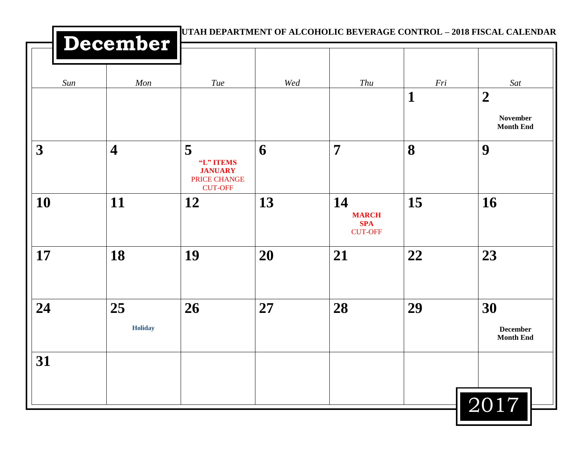|           |                         |                                                                    | UTAH DEPARTMENT OF ALCOHOLIC BEVERAGE CONTROL - 2018 FISCAL CALENDAR |                                                    |          |                                           |  |  |  |
|-----------|-------------------------|--------------------------------------------------------------------|----------------------------------------------------------------------|----------------------------------------------------|----------|-------------------------------------------|--|--|--|
|           | December                |                                                                    |                                                                      |                                                    |          |                                           |  |  |  |
| Sun       | Mon                     | Tue                                                                | Wed                                                                  | Thu                                                | Fri<br>1 | Sat<br>$\boldsymbol{2}$                   |  |  |  |
|           |                         |                                                                    |                                                                      |                                                    |          | <b>November</b><br><b>Month End</b>       |  |  |  |
| 3         | $\overline{\mathbf{4}}$ | 5<br>"L" ITEMS<br><b>JANUARY</b><br>PRICE CHANGE<br><b>CUT-OFF</b> | 6                                                                    | $\overline{7}$                                     | 8        | 9                                         |  |  |  |
| <b>10</b> | 11                      | 12                                                                 | 13                                                                   | 14<br><b>MARCH</b><br><b>SPA</b><br><b>CUT-OFF</b> | 15       | 16                                        |  |  |  |
| 17        | 18                      | 19                                                                 | 20                                                                   | 21                                                 | 22       | 23                                        |  |  |  |
| 24        | 25<br><b>Holiday</b>    | 26                                                                 | 27                                                                   | 28                                                 | 29       | 30<br><b>December</b><br><b>Month End</b> |  |  |  |
| 31        |                         |                                                                    |                                                                      |                                                    |          |                                           |  |  |  |
|           |                         |                                                                    |                                                                      |                                                    |          | 2017                                      |  |  |  |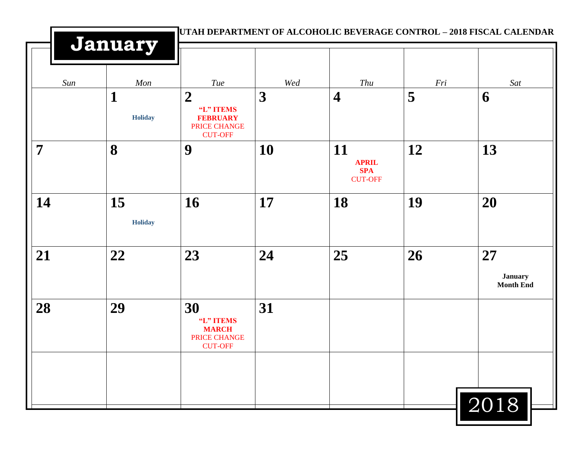|                | January              |                                                                          |          |                                                    | UTAH DEPARTMENT OF ALCOHOLIC BEVERAGE CONTROL - 2018 FISCAL CALENDAR |                                          |  |
|----------------|----------------------|--------------------------------------------------------------------------|----------|----------------------------------------------------|----------------------------------------------------------------------|------------------------------------------|--|
| Sun            | Mon<br>1             | Tue<br>$\overline{2}$                                                    | Wed<br>3 | Thu<br>$\overline{\mathbf{4}}$                     | Fri<br>5                                                             | Sat<br>6                                 |  |
|                | <b>Holiday</b>       | "L" ITEMS<br><b>FEBRUARY</b><br><b>PRICE CHANGE</b><br><b>CUT-OFF</b>    |          |                                                    |                                                                      |                                          |  |
| $\overline{7}$ | 8                    | 9                                                                        | 10       | 11<br><b>APRIL</b><br><b>SPA</b><br><b>CUT-OFF</b> | 12                                                                   | 13                                       |  |
| 14             | 15<br><b>Holiday</b> | 16                                                                       | 17       | 18                                                 | 19                                                                   | 20                                       |  |
| 21             | 22                   | 23                                                                       | 24       | 25                                                 | 26                                                                   | 27<br><b>January</b><br><b>Month End</b> |  |
| 28             | 29                   | 30<br>"L" ITEMS<br><b>MARCH</b><br><b>PRICE CHANGE</b><br><b>CUT-OFF</b> | 31       |                                                    |                                                                      |                                          |  |
|                |                      |                                                                          |          |                                                    |                                                                      | 2018                                     |  |

μ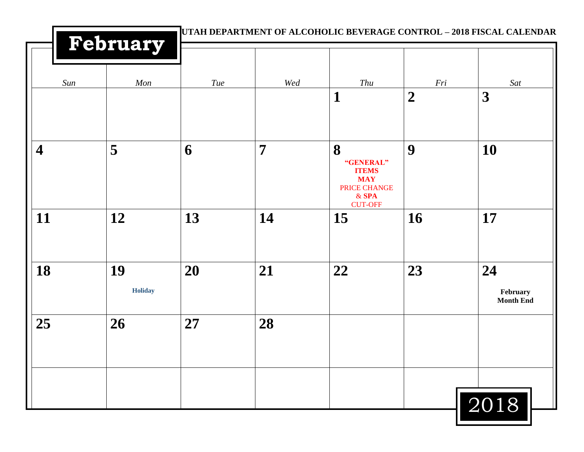|                         | February      |     |                | UTAH DEPARTMENT OF ALCOHOLIC BEVERAGE CONTROL - 2018 FISCAL CALENDAR    |                         |                                    |
|-------------------------|---------------|-----|----------------|-------------------------------------------------------------------------|-------------------------|------------------------------------|
| Sun                     | Mon           | Tue | Wed            | Thu<br>$\mathbf{1}$                                                     | Fri<br>$\boldsymbol{2}$ | Sat<br>3                           |
|                         |               |     |                |                                                                         |                         |                                    |
| $\overline{\mathbf{4}}$ | 5             | 6   | $\overline{7}$ | 8<br>"GENERAL"<br><b>ITEMS</b><br><b>MAY</b><br>PRICE CHANGE<br>$&$ SPA | 9                       | 10                                 |
| 11                      | 12            | 13  | 14             | <b>CUT-OFF</b><br><b>15</b>                                             | <b>16</b>               | 17                                 |
| 18                      | 19<br>Holiday | 20  | 21             | 22                                                                      | 23                      | 24<br>February<br><b>Month End</b> |
| 25                      | 26            | 27  | 28             |                                                                         |                         |                                    |
|                         |               |     |                |                                                                         |                         | 2018                               |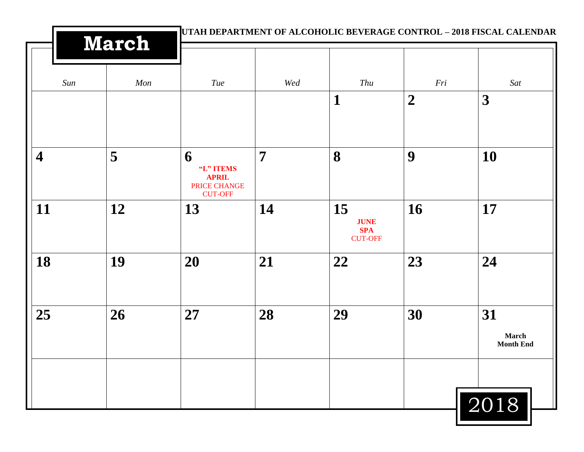| <b>March</b>            |     | UTAH DEPARTMENT OF ALCOHOLIC BEVERAGE CONTROL – 2018 FISCAL CALENDAR    |     |                                                   |                |                                 |  |
|-------------------------|-----|-------------------------------------------------------------------------|-----|---------------------------------------------------|----------------|---------------------------------|--|
| Sun                     | Mon | <b>Tue</b>                                                              | Wed | Thu                                               | Fri            | Sat                             |  |
|                         |     |                                                                         |     | $\mathbf{1}$                                      | $\overline{2}$ | 3                               |  |
| $\overline{\mathbf{4}}$ | 5   | 6<br>"L" ITEMS<br><b>APRIL</b><br><b>PRICE CHANGE</b><br><b>CUT-OFF</b> | 7   | 8                                                 | 9              | 10                              |  |
| 11                      | 12  | 13                                                                      | 14  | 15<br><b>JUNE</b><br><b>SPA</b><br><b>CUT-OFF</b> | 16             | 17                              |  |
| 18                      | 19  | 20                                                                      | 21  | 22                                                | 23             | 24                              |  |
| 25                      | 26  | 27                                                                      | 28  | 29                                                | 30             | 31<br>March<br><b>Month End</b> |  |
|                         |     |                                                                         |     |                                                   |                | 2018                            |  |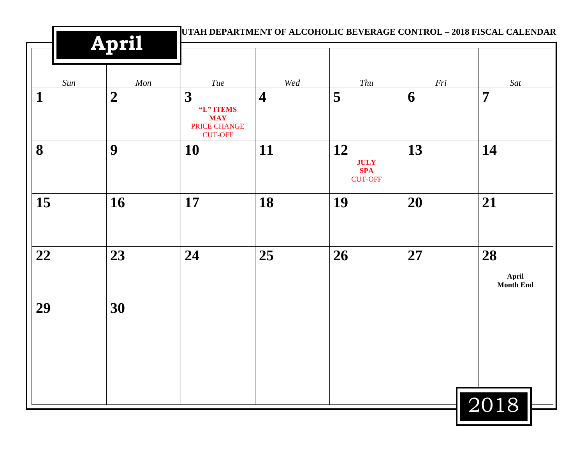|             | <b>April</b>     |                                                                |                |                                                   |     | UTAH DEPARTMENT OF ALCOHOLIC BEVERAGE CONTROL - 2018 FISCAL CALENDAR |
|-------------|------------------|----------------------------------------------------------------|----------------|---------------------------------------------------|-----|----------------------------------------------------------------------|
| Sun         | Mon              | Tue                                                            | Wed            | Thu                                               | Fri | Sat                                                                  |
| $\mathbf 1$ | $\boldsymbol{2}$ | 3<br>"L" ITEMS<br><b>MAY</b><br>PRICE CHANGE<br><b>CUT-OFF</b> | $\overline{4}$ | 5                                                 | 6   | $\overline{7}$                                                       |
| 8           | 9                | 10                                                             | 11             | 12<br><b>JULY</b><br><b>SPA</b><br><b>CUT-OFF</b> | 13  | 14                                                                   |
| 15          | 16               | 17                                                             | 18             | 19                                                | 20  | 21                                                                   |
| 22          | 23               | 24                                                             | 25             | 26                                                | 27  | 28<br>April<br><b>Month End</b>                                      |
| 29          | 30               |                                                                |                |                                                   |     |                                                                      |
|             |                  |                                                                |                |                                                   |     | 2018                                                                 |

ш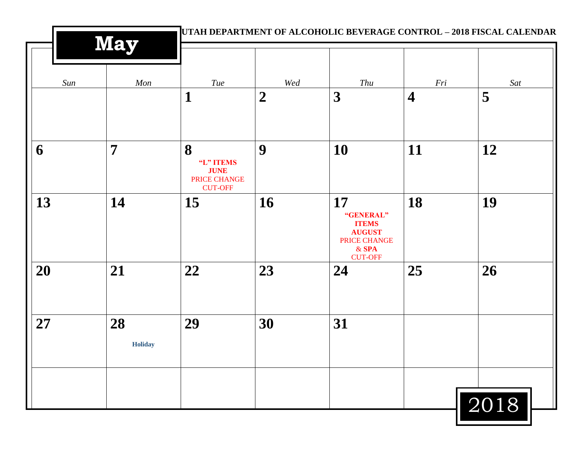|     | <b>May</b>           |                                                                 | UTAH DEPARTMENT OF ALCOHOLIC BEVERAGE CONTROL - 2018 FISCAL CALENDAR |                                                                                               |                         |      |  |  |
|-----|----------------------|-----------------------------------------------------------------|----------------------------------------------------------------------|-----------------------------------------------------------------------------------------------|-------------------------|------|--|--|
| Sun | Mon                  | Tue                                                             | Wed                                                                  | Thu                                                                                           | Fri                     | Sat  |  |  |
|     |                      | $\mathbf{1}$                                                    | $\overline{2}$                                                       | 3                                                                                             | $\overline{\mathbf{4}}$ | 5    |  |  |
| 6   | 7                    | 8<br>"L" ITEMS<br><b>JUNE</b><br>PRICE CHANGE<br><b>CUT-OFF</b> | 9                                                                    | 10                                                                                            | 11                      | 12   |  |  |
| 13  | 14                   | 15                                                              | 16                                                                   | 17<br>"GENERAL"<br><b>ITEMS</b><br><b>AUGUST</b><br>PRICE CHANGE<br>$&$ SPA<br><b>CUT-OFF</b> | 18                      | 19   |  |  |
| 20  | 21                   | 22                                                              | 23                                                                   | 24                                                                                            | 25                      | 26   |  |  |
| 27  | 28<br><b>Holiday</b> | 29                                                              | 30                                                                   | 31                                                                                            |                         |      |  |  |
|     |                      |                                                                 |                                                                      |                                                                                               |                         | 2018 |  |  |

ш